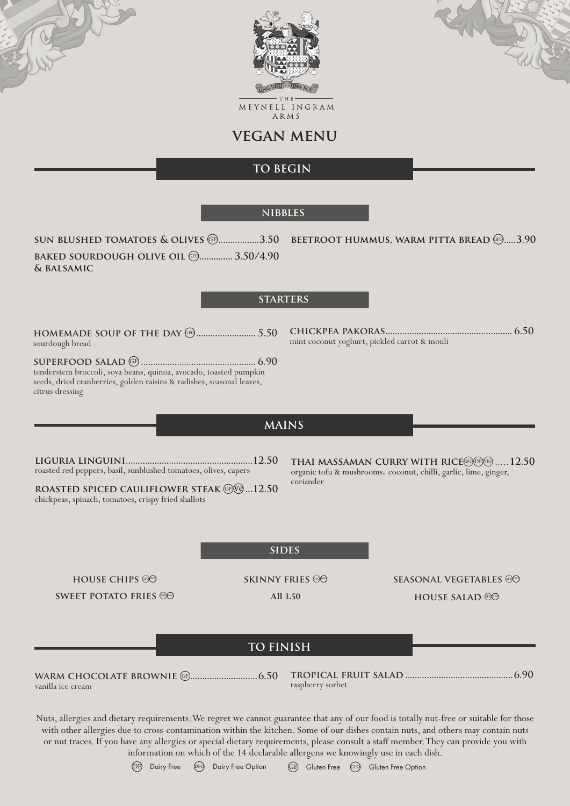



MEYNELL INGRAM ARMS

**vegan menu**

# **TO BEGIN**

#### **nibbles**

**sun blushed tomatoes & olives @.................3.50 beetroot hummus, warm pitta bread @.....3.90 baked sourdough olive oil**  $F$ **<sup>(F)</sup>................ 3.50/4.90 & balsamic**

### **starters**

**homemade soup of the day** GFO **......................... 5.50** sourdough bread

**superfood salad** GF **................................................ 6.90** tenderstem broccoli, soya beans, quinoa, avocado, toasted pumpkin seeds, dried cranberries, golden raisins & radishes, seasonal leaves, citrus dressing

**chickpea pakoras..................................................... 6.50** mint coconut yoghurt, pickled carrot & mouli

### **MAINS**

**liguria linguini.....................................................12.50** roasted red peppers, basil, sunblushed tomatoes, olives, capers

**ROASTED SPICED CAULIFLOWER STEAK**  $GP$  **...12.50** chickpeas, spinach, tomatoes, crispy fried shallots

**THAI MASSAMAN CURRY WITH RICE GFO DF VEO ..... 12.50** organic tofu & mushrooms, coconut, chilli, garlic, lime, ginger, coriander

#### **sides**

**house chips**  $\circledast$ **SWEET POTATO FRIES**  **SKINNY FRIES** 

**All 3.50**

**SEASONAL VEGETABLES HOUSE SALAD** GROPP

## **TO FINISH**

**warm chocolate brownie** GF **............................6.50** vanilla ice cream

**tropical fruit salad .............................................6.90** raspberry sorbet

Nuts, allergies and dietary requirements: We regret we cannot guarantee that any of our food is totally nut-free or suitable for those with other allergies due to cross-contamination within the kitchen. Some of our dishes contain nuts, and others may contain nuts or nut traces. If you have any allergies or special dietary requirements, please consult a staff member. They can provide you with information on which of the 14 declarable allergens we knowingly use in each dish.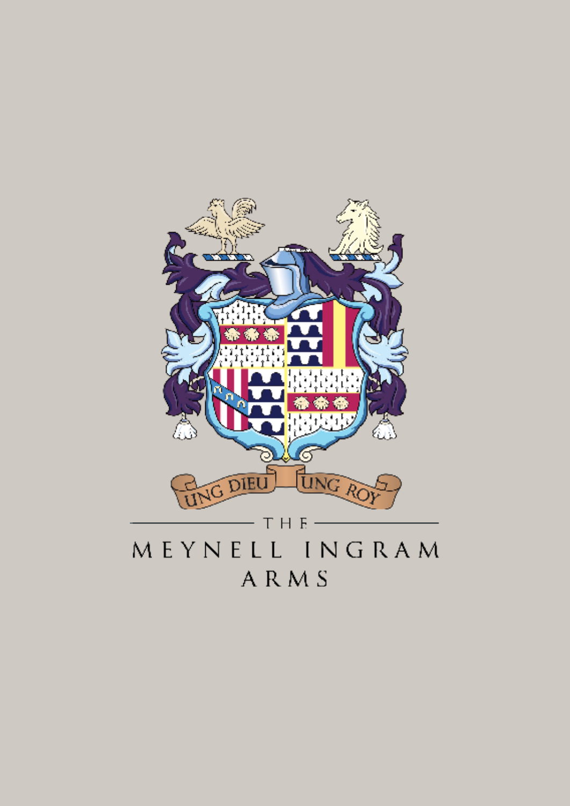

MEYNELL INGRAM **ARMS**